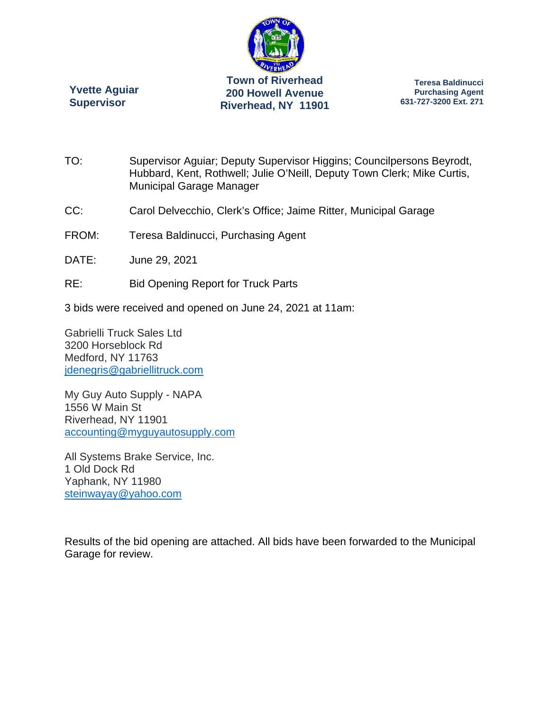

**Yvette Aguiar Supervisor** 

**Teresa Baldinucci Purchasing Agent 631-727-3200 Ext. 271** 

- TO: Supervisor Aguiar; Deputy Supervisor Higgins; Councilpersons Beyrodt, Hubbard, Kent, Rothwell; Julie O'Neill, Deputy Town Clerk; Mike Curtis, Municipal Garage Manager
- CC: Carol Delvecchio, Clerk's Office; Jaime Ritter, Municipal Garage
- FROM: Teresa Baldinucci, Purchasing Agent
- DATE: June 29, 2021
- RE: Bid Opening Report for Truck Parts
- 3 bids were received and opened on June 24, 2021 at 11am:

Gabrielli Truck Sales Ltd 3200 Horseblock Rd Medford, NY 11763 jdenegris@gabriellitruck.com

My Guy Auto Supply - NAPA 1556 W Main St Riverhead, NY 11901 accounting@myguyautosupply.com

All Systems Brake Service, Inc. 1 Old Dock Rd Yaphank, NY 11980 steinwayay@yahoo.com

Results of the bid opening are attached. All bids have been forwarded to the Municipal Garage for review.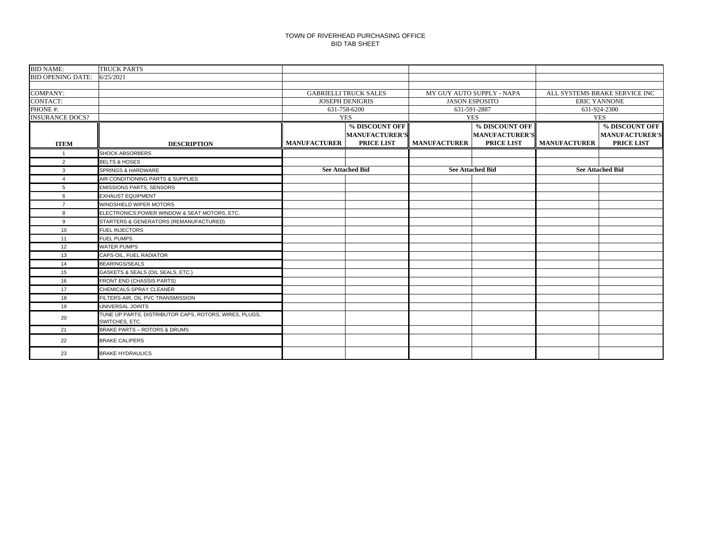#### TOWN OF RIVERHEAD PURCHASING OFFICE BID TAB SHEET

| <b>BID NAME:</b>         | <b>TRUCK PARTS</b>                                                       |                     |                              |                     |                           |                     |                               |
|--------------------------|--------------------------------------------------------------------------|---------------------|------------------------------|---------------------|---------------------------|---------------------|-------------------------------|
| <b>BID OPENING DATE:</b> | 6/25/2021                                                                |                     |                              |                     |                           |                     |                               |
|                          |                                                                          |                     |                              |                     |                           |                     |                               |
| <b>COMPANY:</b>          |                                                                          |                     | <b>GABRIELLI TRUCK SALES</b> |                     | MY GUY AUTO SUPPLY - NAPA |                     | ALL SYSTEMS BRAKE SERVICE INC |
| <b>CONTACT:</b>          |                                                                          |                     | <b>JOSEPH DENIGRIS</b>       |                     | <b>JASON ESPOSITO</b>     | <b>ERIC YANNONE</b> |                               |
| PHONE#:                  |                                                                          |                     | 631-758-6200                 | 631-591-2887        |                           | 631-924-2300        |                               |
| <b>INSURANCE DOCS?</b>   |                                                                          |                     | <b>YES</b>                   | <b>YES</b>          |                           | <b>YES</b>          |                               |
|                          |                                                                          |                     | % DISCOUNT OFF               |                     | % DISCOUNT OFF            |                     | % DISCOUNT OFF                |
|                          |                                                                          |                     | <b>MANUFACTURER'S</b>        |                     | <b>MANUFACTURER'S</b>     |                     | <b>MANUFACTURER'S</b>         |
| <b>ITEM</b>              | <b>DESCRIPTION</b>                                                       | <b>MANUFACTURER</b> | <b>PRICE LIST</b>            | <b>MANUFACTURER</b> | <b>PRICE LIST</b>         | <b>MANUFACTURER</b> | <b>PRICE LIST</b>             |
|                          | <b>SHOCK ABSORBERS</b>                                                   |                     |                              |                     |                           |                     |                               |
| 2                        | <b>BELTS &amp; HOSES</b>                                                 |                     |                              |                     |                           |                     |                               |
| $\mathbf{3}$             | SPRINGS & HARDWARE                                                       |                     | <b>See Attached Bid</b>      |                     | <b>See Attached Bid</b>   |                     | <b>See Attached Bid</b>       |
| $\overline{4}$           | AIR CONDITIONING PARTS & SUPPLIES                                        |                     |                              |                     |                           |                     |                               |
| 5                        | <b>EMISSIONS PARTS, SENSORS</b>                                          |                     |                              |                     |                           |                     |                               |
| 6                        | <b>EXHAUST EQUIPMENT</b>                                                 |                     |                              |                     |                           |                     |                               |
| $\overline{7}$           | WINDSHIELD WIPER MOTORS                                                  |                     |                              |                     |                           |                     |                               |
| 8                        | ELECTRONICS:POWER WINDOW & SEAT MOTORS, ETC.                             |                     |                              |                     |                           |                     |                               |
| 9                        | STARTERS & GENERATORS (REMANUFACTURED)                                   |                     |                              |                     |                           |                     |                               |
| 10                       | <b>FUEL INJECTORS</b>                                                    |                     |                              |                     |                           |                     |                               |
| 11                       | <b>FUEL PUMPS</b>                                                        |                     |                              |                     |                           |                     |                               |
| 12                       | <b>WATER PUMPS</b>                                                       |                     |                              |                     |                           |                     |                               |
| 13                       | CAPS-OIL, FUEL RADIATOR                                                  |                     |                              |                     |                           |                     |                               |
| 14                       | <b>BEARINGS/SEALS</b>                                                    |                     |                              |                     |                           |                     |                               |
| 15                       | GASKETS & SEALS (OIL SEALS, ETC.)                                        |                     |                              |                     |                           |                     |                               |
| 16                       | FRONT END (CHASSIS PARTS)                                                |                     |                              |                     |                           |                     |                               |
| 17                       | CHEMICALS-SPRAY CLEANER                                                  |                     |                              |                     |                           |                     |                               |
| 18                       | FILTERS-AIR, OIL PVC TRANSMISSION                                        |                     |                              |                     |                           |                     |                               |
| 19                       | UNIVERSAL JOINTS                                                         |                     |                              |                     |                           |                     |                               |
| 20                       | TUNE UP PARTS, DISTRIBUTOR CAPS, ROTORS, WIRES, PLUGS,<br>SWITCHES, ETC. |                     |                              |                     |                           |                     |                               |
| 21                       | BRAKE PARTS - ROTORS & DRUMS                                             |                     |                              |                     |                           |                     |                               |
| 22                       | <b>BRAKE CALIPERS</b>                                                    |                     |                              |                     |                           |                     |                               |
| 23                       | <b>BRAKE HYDRAULICS</b>                                                  |                     |                              |                     |                           |                     |                               |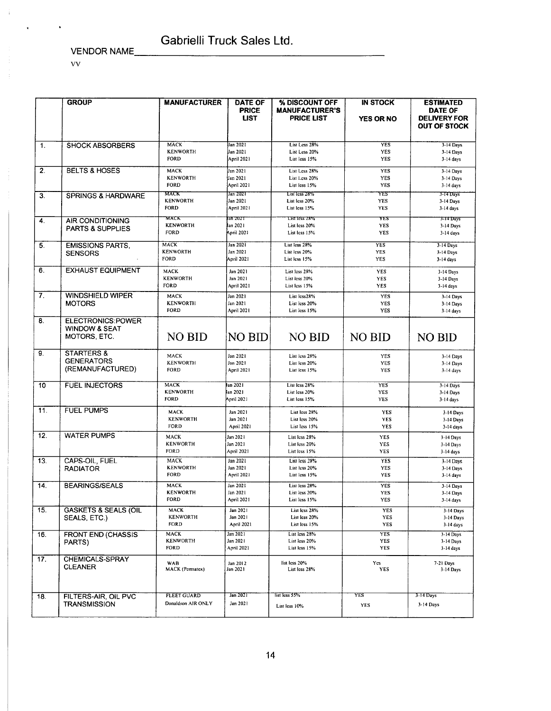VENDOR NAME

vv

 $\ddot{\phantom{0}}$ 

 $\hat{1}$ 

×

|                  | <b>GROUP</b>                                                         | <b>MANUFACTURER</b>                           | <b>DATE OF</b><br><b>PRICE</b><br><b>LIST</b> | % DISCOUNT OFF<br><b>MANUFACTURER'S</b><br><b>PRICE LIST</b> | <b>IN STOCK</b><br><b>YES OR NO</b> | <b>ESTIMATED</b><br><b>DATE OF</b><br><b>DELIVERY FOR</b><br><b>OUT OF STOCK</b> |
|------------------|----------------------------------------------------------------------|-----------------------------------------------|-----------------------------------------------|--------------------------------------------------------------|-------------------------------------|----------------------------------------------------------------------------------|
| $\mathbf{1}$ .   | <b>SHOCK ABSORBERS</b>                                               | <b>MACK</b><br><b>KENWORTH</b><br><b>FORD</b> | Jan 2021<br>Jan 2021<br>April 2021            | List Less 28%<br>List Less 20%<br>List less 15%              | <b>YES</b><br>YES<br>YES            | $3-14$ Days<br>3-14 Days<br>$3-14$ days                                          |
| $\overline{2}$ . | <b>BELTS &amp; HOSES</b>                                             | <b>MACK</b><br><b>KENWORTH</b><br><b>FORD</b> | Jan 2021<br>Jan 2021<br>April 2021            | List Less 28%<br>List Less 20%<br>List less 15%              | YES<br>YES<br><b>YES</b>            | 3-14 Days<br>3-14 Days<br>3-14 days                                              |
| 3.               | <b>SPRINGS &amp; HARDWARE</b>                                        | MACK<br><b>KENWORTH</b><br><b>FORD</b>        | Jan 2021<br>Jan 2021<br>April 2021            | List less 28%<br>List less 20%<br>List less 15%              | YES<br>YES<br>YES                   | 3-14 Days<br>3-14 Days<br>3-14 days                                              |
| 4.               | <b>AIR CONDITIONING</b><br><b>PARTS &amp; SUPPLIES</b>               | MACK<br><b>KENWORTH</b><br><b>FORD</b>        | an 2021<br>lan 2021<br>April 2021             | <b>LIST ICSS 28%</b><br>List less 20%<br>List less 15%       | YES<br><b>YES</b><br>YES            | 3-14 Days<br>3-14 Days<br>$3-14$ days                                            |
| 5.               | <b>EMISSIONS PARTS,</b><br><b>SENSORS</b>                            | <b>MACK</b><br><b>KENWORTH</b><br>FORD        | Jan 2021<br>Jan 2021<br>April 2021            | List less 28%<br>List less 20%<br>List less 15%              | <b>YES</b><br><b>YES</b><br>YES     | 3-14 Days<br>3-14 Days<br>$3-14$ days                                            |
| 6.               | <b>EXHAUST EQUIPMENT</b>                                             | MACK<br><b>KENWORTH</b><br><b>FORD</b>        | Jan 2021<br>Jan 2021<br>April 2021            | List less 28%<br>List less 20%<br>List less 15%              | YES<br>YES<br>YES                   | 3-14 Days<br>3-14 Days<br>$3-14$ days                                            |
| 7.               | <b>WINDSHIELD WIPER</b><br><b>MOTORS</b>                             | MACK<br><b>KENWORTH</b><br>FORD               | Jan 2021<br>Jan 2021<br>April 2021            | List less28%<br>List less 20%<br>List less 15%               | <b>YES</b><br>YES<br>YES            | 3-14 Days<br>3-14 Days<br>3-14 days                                              |
| 8.               | <b>ELECTRONICS:POWER</b><br><b>WINDOW &amp; SEAT</b><br>MOTORS, ETC. | <b>NO BID</b>                                 | NO BID                                        | <b>NO BID</b>                                                | <b>NO BID</b>                       | <b>NO BID</b>                                                                    |
| 9.               | <b>STARTERS &amp;</b><br><b>GENERATORS</b><br>(REMANUFACTURED)       | MACK<br><b>KENWORTH</b><br><b>FORD</b>        | Jan 2021<br>Jan 2021<br>April 2021            | List less 28%<br>List less 20%<br>List less 15%              | YES<br>YES<br>YES                   | 3-14 Days<br>3-14 Days<br>3-14 days                                              |
| 10               | <b>FUEL INJECTORS</b>                                                | <b>MACK</b><br><b>KENWORTH</b><br><b>FORD</b> | tan 2021<br>lan 2021<br>April 2021            | List less 28%<br>List less 20%<br>List less 15%              | <b>YES</b><br>YES<br><b>YES</b>     | 3-14 Days<br>3-14 Days<br>3-14 days                                              |
| 11.              | <b>FUEL PUMPS</b>                                                    | MACK<br><b>KENWORTH</b><br>FORD               | Jan 2021<br>Jan 2021<br>April 2021            | List less 28%<br>List less 20%<br>List less 15%              | YES<br><b>YES</b><br>YES            | 3-14 Days<br>3-14 Days<br>3-14 days                                              |
| 12.              | <b>WATER PUMPS</b>                                                   | MACK<br><b>KENWORTH</b><br>FORD               | Jan 2021<br>Jan 2021<br>April 2021            | List less 28%<br>List less 20%<br>List less 15%              | YES<br><b>YES</b><br>YES            | 3-14 Days<br>3-14 Days<br>$3-14$ days                                            |
| 13.              | CAPS-OIL, FUEL<br><b>RADIATOR</b>                                    | <b>MACK</b><br><b>KENWORTH</b><br><b>FORD</b> | Jan 2021<br>Jan 2021<br>April 2021            | List less 28%<br>List less 20%<br>List less 15%              | YES<br><b>YES</b><br>YES            | 3-14 Days<br>3-14 Days<br>3-14 days                                              |
| 14.              | <b>BEARINGS/SEALS</b>                                                | MACK<br><b>KENWORTH</b><br><b>FORD</b>        | Jan 2021<br>Jan 2021<br>April 2021            | List less 28%<br>List less 20%<br>List less 15%              | YES<br>YES<br>YES                   | 3-14 Days<br>3-14 Days<br>3-14 days                                              |
| 15.              | <b>GASKETS &amp; SEALS (OIL</b><br>SEALS, ETC.)                      | MACK<br>KENWORTH<br>FORD                      | Jan 2021<br>Jan 2021<br><b>April 2021</b>     | List less 28%<br>List less 20%<br>List less 15%              | YES<br>YES<br>YES                   | 3-14 Days<br>3-14 Days<br>3-14 days                                              |
| 16.              | FRONT END (CHASSIS<br>PARTS)                                         | MACK<br><b>KENWORTH</b><br>FORD               | Jan 2021<br>Jan 2021<br>April 2021            | List less 28%<br>List less 20%<br>List less 15%              | <b>YES</b><br><b>YES</b><br>YES     | 3-14 Days<br>3-14 Days<br>3-14 days                                              |
| 17.              | CHEMICALS-SPRAY<br>CLEANER                                           | WAB<br>MACK (Permatex)                        | Jan 2012<br>Jan 2021                          | list less 20%<br>List less 28%                               | Ycs<br>YES                          | 7-21 Days<br>$3-14$ Days                                                         |
| 18.              | FILTERS-AIR, OIL PVC<br><b>TRANSMISSION</b>                          | <b>FLEET GUARD</b><br>Donaldson AIR ONLY      | Jan 2021<br>Jan 2021                          | list less 55%<br>List less 10%                               | YES<br>YES                          | 3-14 Days<br>3-14 Days                                                           |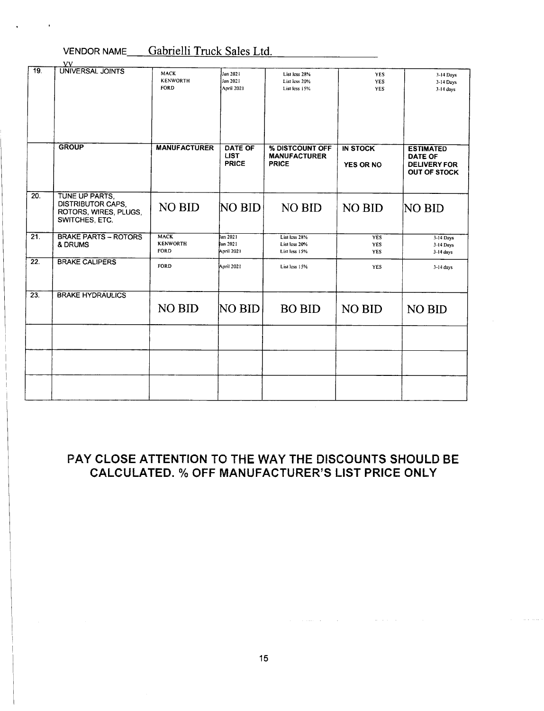#### VENDOR NAME Gabrielli Truck Sales Ltd.

|                   | VV.                                                                                   |                                               |                                               |                                                        |                                        |                                                                                  |
|-------------------|---------------------------------------------------------------------------------------|-----------------------------------------------|-----------------------------------------------|--------------------------------------------------------|----------------------------------------|----------------------------------------------------------------------------------|
| 19.               | <b>UNIVERSAL JOINTS</b>                                                               | MACK<br><b>KENWORTH</b><br><b>FORD</b>        | Jan 2021<br>Jan 2021<br><b>April 2021</b>     | List less 28%<br>List less 20%<br>List less 15%        | <b>YES</b><br><b>YES</b><br><b>YES</b> | 3-14 Days<br>3-14 Days<br>3-14 days                                              |
|                   | <b>GROUP</b>                                                                          | <b>MANUFACTURER</b>                           | <b>DATE OF</b><br><b>LIST</b><br><b>PRICE</b> | % DISTCOUNT OFF<br><b>MANUFACTURER</b><br><b>PRICE</b> | <b>IN STOCK</b><br><b>YES OR NO</b>    | <b>ESTIMATED</b><br><b>DATE OF</b><br><b>DELIVERY FOR</b><br><b>OUT OF STOCK</b> |
| 20.               | TUNE UP PARTS.<br><b>DISTRIBUTOR CAPS,</b><br>ROTORS, WIRES, PLUGS,<br>SWITCHES, ETC. | NO BID                                        | NO BID                                        | <b>NO BID</b>                                          | <b>NO BID</b>                          | NO BID                                                                           |
| 21.               | <b>BRAKE PARTS - ROTORS</b><br>& DRUMS                                                | <b>MACK</b><br><b>KENWORTH</b><br><b>FORD</b> | lan 2021<br>lan 2021<br>April 2021            | List lcss 28%<br>List less 20%<br>List less 15%        | YES<br>YES<br>YES                      | 3-14 Days<br>3-14 Days<br>$3-14$ days                                            |
| $\overline{22}$ . | <b>BRAKE CALIPERS</b>                                                                 | <b>FORD</b>                                   | April 2021                                    | List less 15%                                          | <b>YES</b>                             | 3-14 days                                                                        |
| $\overline{23}$ . | <b>BRAKE HYDRAULICS</b>                                                               |                                               |                                               |                                                        |                                        |                                                                                  |
|                   |                                                                                       | NO BID                                        | <b>NO BID</b>                                 | <b>BO BID</b>                                          | NO BID                                 | NO BID                                                                           |
|                   |                                                                                       |                                               |                                               |                                                        |                                        |                                                                                  |
|                   |                                                                                       |                                               |                                               |                                                        |                                        |                                                                                  |
|                   |                                                                                       |                                               |                                               |                                                        |                                        |                                                                                  |

### PAY CLOSE ATTENTION TO THE WAY THE DISCOUNTS SHOULD BE CALCULATED. % OFF MANUFACTURER'S LIST PRICE ONLY

 $\mathcal{L}_{\mathcal{A}}$  is a subsequent of the set of the set of the set of the set of the  $\mathcal{A}$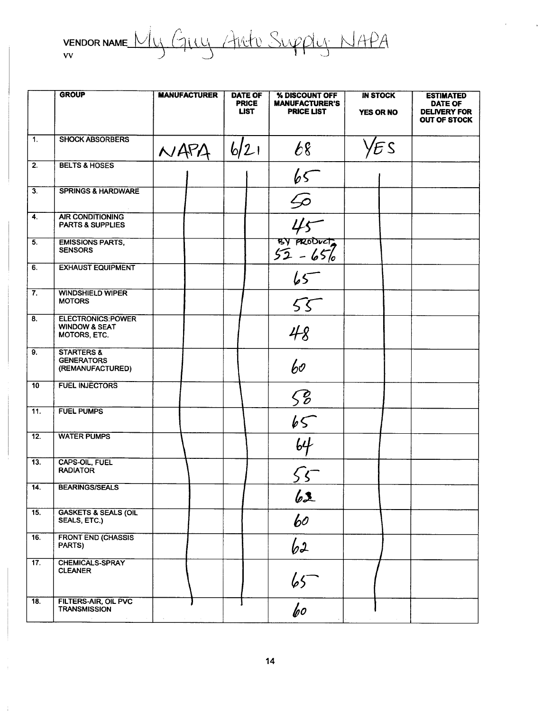VENDOR NAME My GILLY ARTIC Supply NAPA

|                           | <b>GROUP</b>                                                         | <b>MANUFACTURER</b> | <b>DATE OF</b><br><b>PRICE</b><br><b>LIST</b> | % DISCOUNT OFF<br><b>MANUFACTURER'S</b><br><b>PRICE LIST</b> | <b>IN STOCK</b><br><b>YES OR NO</b> | <b>ESTIMATED</b><br>DATE OF<br><b>DELIVERY FOR</b><br><b>OUT OF STOCK</b> |
|---------------------------|----------------------------------------------------------------------|---------------------|-----------------------------------------------|--------------------------------------------------------------|-------------------------------------|---------------------------------------------------------------------------|
| $\overline{1}$ .          | <b>SHOCK ABSORBERS</b>                                               | NAPA                | 6/21                                          | 68                                                           | ΈS                                  |                                                                           |
| $\overline{2}$ .          | <b>BELTS &amp; HOSES</b>                                             |                     |                                               | 65                                                           |                                     |                                                                           |
| $\overline{3}$ .          | <b>SPRINGS &amp; HARDWARE</b>                                        |                     |                                               | $\mathscr{D}$                                                |                                     |                                                                           |
| 4.                        | <b>AIR CONDITIONING</b><br><b>PARTS &amp; SUPPLIES</b>               |                     |                                               |                                                              |                                     |                                                                           |
| $\overline{5}$ .          | <b>EMISSIONS PARTS,</b><br><b>SENSORS</b>                            |                     |                                               | $45$<br>sy product                                           |                                     |                                                                           |
| 6.                        | <b>EXHAUST EQUIPMENT</b>                                             |                     |                                               | $65-$                                                        |                                     |                                                                           |
| $\overline{\mathbf{7}}$ . | <b>WINDSHIELD WIPER</b><br><b>MOTORS</b>                             |                     |                                               | 55                                                           |                                     |                                                                           |
| $\overline{8}$            | <b>ELECTRONICS:POWER</b><br><b>WINDOW &amp; SEAT</b><br>MOTORS, ETC. |                     |                                               | 48                                                           |                                     |                                                                           |
| 9.                        | <b>STARTERS &amp;</b><br><b>GENERATORS</b><br>(REMANUFACTURED)       |                     |                                               | 60                                                           |                                     |                                                                           |
| 10                        | <b>FUEL INJECTORS</b>                                                |                     |                                               | $\mathcal{S}$                                                |                                     |                                                                           |
| 11.                       | <b>FUEL PUMPS</b>                                                    |                     |                                               |                                                              |                                     |                                                                           |
| $\overline{12}$ .         | <b>WATER PUMPS</b>                                                   |                     |                                               | $\frac{65}{64}$                                              |                                     |                                                                           |
| 13.                       | CAPS-OIL, FUEL<br><b>RADIATOR</b>                                    |                     |                                               |                                                              |                                     |                                                                           |
| 14.                       | <b>BEARINGS/SEALS</b>                                                |                     |                                               | 62                                                           |                                     |                                                                           |
| $\overline{15}$ .         | <b>GASKETS &amp; SEALS (OIL</b><br>SEALS, ETC.)                      |                     |                                               | 60                                                           |                                     |                                                                           |
| 16.                       | <b>FRONT END (CHASSIS</b><br>PARTS)                                  |                     |                                               | 62                                                           |                                     |                                                                           |
| 17.                       | CHEMICALS-SPRAY<br><b>CLEANER</b>                                    |                     |                                               | $\frac{65}{60}$                                              |                                     |                                                                           |
| $\overline{18}$ .         | <b>FILTERS-AIR, OIL PVC</b><br><b>TRANSMISSION</b>                   |                     |                                               |                                                              |                                     |                                                                           |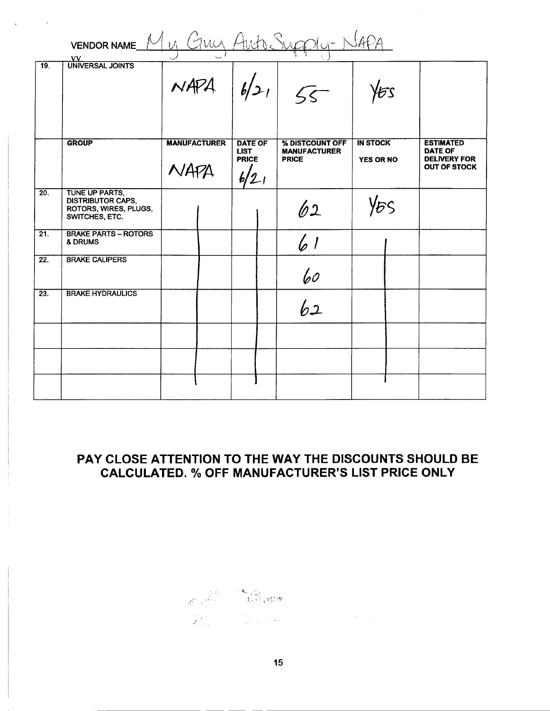|                   | VENDOR NAME M U GULLY ALLA SUGOLY-NAPA                                                |                             |                                                          |                                                        |                                     |                                                                                  |  |  |
|-------------------|---------------------------------------------------------------------------------------|-----------------------------|----------------------------------------------------------|--------------------------------------------------------|-------------------------------------|----------------------------------------------------------------------------------|--|--|
| $\overline{19}$ . | VV<br>UNIVERSAL JOINTS                                                                | $NAPA$ $ b/21 $ $55$        |                                                          |                                                        | Ъs                                  |                                                                                  |  |  |
|                   | <b>GROUP</b>                                                                          | <b>MANUFACTURER</b><br>NAPA | <b>DATE OF</b><br><b>LIST</b><br><b>PRICE</b><br>$6/2$ 1 | % DISTCOUNT OFF<br><b>MANUFACTURER</b><br><b>PRICE</b> | <b>IN STOCK</b><br><b>YES OR NO</b> | <b>ESTIMATED</b><br><b>DATE OF</b><br><b>DELIVERY FOR</b><br><b>OUT OF STOCK</b> |  |  |
| $\overline{20}$ . | TUNE UP PARTS,<br><b>DISTRIBUTOR CAPS,</b><br>ROTORS, WIRES, PLUGS,<br>SWITCHES, ETC. |                             |                                                          | 62                                                     | Y&S                                 |                                                                                  |  |  |
| $\overline{21}$ . | <b>BRAKE PARTS - ROTORS</b><br>& DRUMS                                                |                             |                                                          | 6 1                                                    |                                     |                                                                                  |  |  |
| 22.               | <b>BRAKE CALIPERS</b>                                                                 |                             |                                                          | 60                                                     |                                     |                                                                                  |  |  |
| $\overline{23}$ . | <b>BRAKE HYDRAULICS</b>                                                               |                             |                                                          | 62                                                     |                                     |                                                                                  |  |  |
|                   |                                                                                       |                             |                                                          |                                                        |                                     |                                                                                  |  |  |
|                   |                                                                                       |                             |                                                          |                                                        |                                     |                                                                                  |  |  |
|                   |                                                                                       |                             |                                                          |                                                        |                                     |                                                                                  |  |  |

## PAY CLOSE ATTENTION TO THE WAY THE DISCOUNTS SHOULD BE **CALCULATED. % OFF MANUFACTURER'S LIST PRICE ONLY**

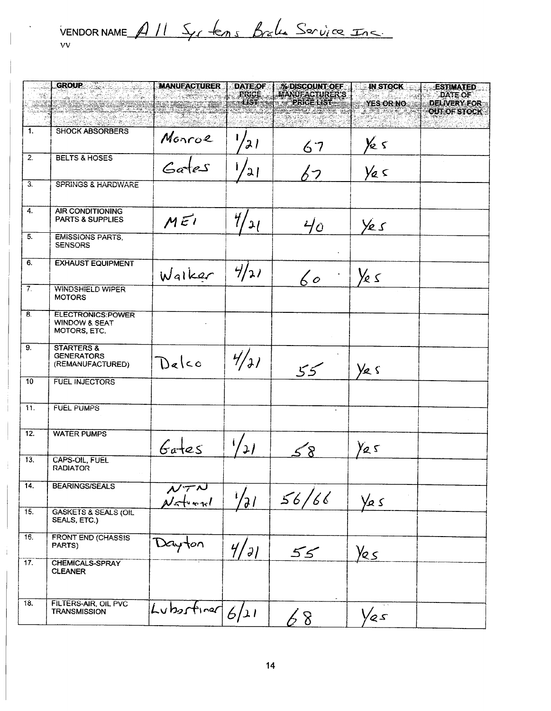VENDORNAME All Syrtems Brake Service Inc.

|                  | GROUP <b>And Service Service</b>                                     | <b>MANUEACTURER</b>                | <b>DATE OF</b>  | <b>% DISCOUNT OFF</b>                       | <b>IN STOCK</b>         | <b>ESTIMATED</b>                      |
|------------------|----------------------------------------------------------------------|------------------------------------|-----------------|---------------------------------------------|-------------------------|---------------------------------------|
|                  |                                                                      |                                    | PRICE<br>$-157$ | <b>MANUFACTURER'S</b><br><b>PRICE LIST-</b> | <b>YES OR NO</b>        | <b>DATE OF</b><br><b>DELIVERY FOR</b> |
|                  |                                                                      |                                    | RAMA            |                                             | <u>ragone d</u>         | <b>OUT OF STOCK</b>                   |
| 1.               | <b>SHOCK ABSORBERS</b>                                               |                                    |                 |                                             |                         |                                       |
|                  |                                                                      | Monroe                             | 21              | 67                                          | Ye 5                    |                                       |
| $\overline{2}$ . | <b>BELTS &amp; HOSES</b>                                             | Gates                              | 2               | んつ                                          | $y_{\alpha}$            |                                       |
| $\overline{3}$ . | <b>SPRINGS &amp; HARDWARE</b>                                        |                                    |                 |                                             |                         |                                       |
| 4.               | <b>AIR CONDITIONING</b><br><b>PARTS &amp; SUPPLIES</b>               | MEI                                | 47<br>$'$ 2/    | $40^{\circ}$                                | Yes                     |                                       |
| $\overline{5}$ . | <b>EMISSIONS PARTS,</b><br><b>SENSORS</b>                            |                                    |                 |                                             |                         |                                       |
| 6.               | <b>EXHAUST EQUIPMENT</b>                                             | Walker                             | 4/21            | $60^{\circ}$                                | Ye s                    |                                       |
| $7^\circ$        | <b>WINDSHIELD WIPER</b><br><b>MOTORS</b>                             |                                    |                 |                                             |                         |                                       |
| $\overline{8}$ . | <b>ELECTRONICS:POWER</b><br><b>WINDOW &amp; SEAT</b><br>MOTORS, ETC. |                                    |                 |                                             |                         |                                       |
| $\overline{9}$ . | <b>STARTERS &amp;</b><br><b>GENERATORS</b><br>(REMANUFACTURED)       | Delco                              | 4/71            | 55                                          | Ye s                    |                                       |
| 10               | <b>FUEL INJECTORS</b>                                                |                                    |                 |                                             |                         |                                       |
| 11.              | <b>FUEL PUMPS</b>                                                    |                                    |                 |                                             |                         |                                       |
| 12.              | <b>WATER PUMPS</b>                                                   | $6a+es$                            | 21              |                                             | Y25                     |                                       |
| 13.              | CAPS-OIL, FUEL<br><b>RADIATOR</b>                                    |                                    |                 | 58                                          |                         |                                       |
| 14.              | <b>BEARINGS/SEALS</b>                                                | $\overline{\mathcal{N}^{\tau\nu}}$ | $\frac{1}{2}$   | 56/66                                       | $\frac{1}{2}$ s         |                                       |
| 15.              | <b>GASKETS &amp; SEALS (OIL</b><br>SEALS, ETC.)                      |                                    |                 |                                             |                         |                                       |
| 16.              | <b>FRONT END (CHASSIS</b><br>PARTS)                                  | Dayton                             | 4/71            | 55                                          | $\frac{\gamma_{25}}{2}$ |                                       |
| 17.              | CHEMICALS-SPRAY<br><b>CLEANER</b>                                    |                                    |                 |                                             |                         |                                       |
| 18.              | FILTERS-AIR, OIL PVC<br><b>TRANSMISSION</b>                          | Lubertiner $6/21$                  |                 | 68                                          | Yes                     |                                       |